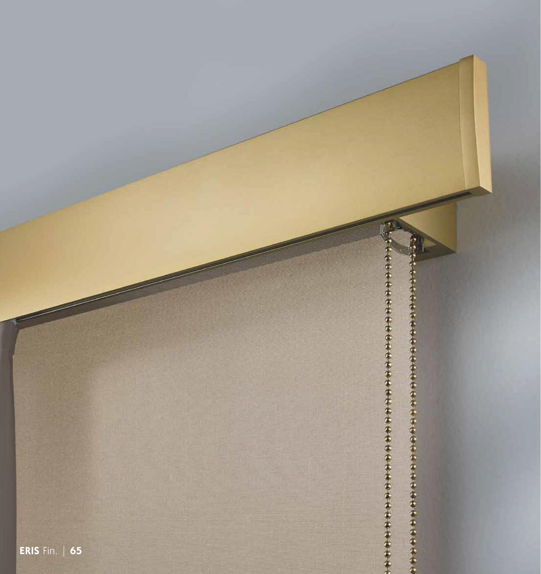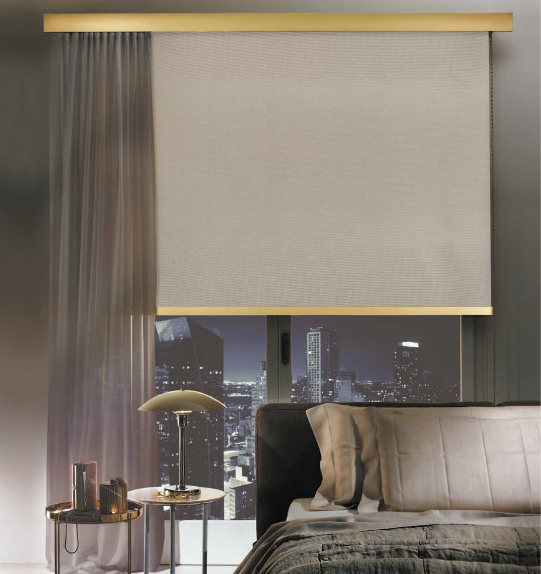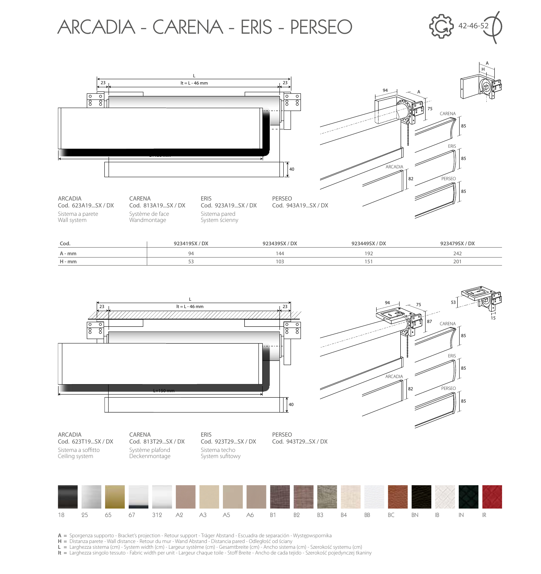# ARCADIA - CARENA - ERIS - PERSEO 42-46-52





| Cod.     | 923419SX / DX | 923439SX / DX | 923449SX / DX | $\sqrt{X}/DX$ |
|----------|---------------|---------------|---------------|---------------|
| A - mm   |               | 144           | 192           | $^{\prime}$   |
| $H - mm$ |               | 103           |               | .20           |







18 25 65 67 312 A2 A3 A5 A6 B1 B2 B3 B4 BB BC BN IB IN IR

**A =** Sporgenza supporto - Bracket's projection - Retour support - Träger Abstand - Escuadra de separación - Występwspornika

**H =** Distanza parete - Wall distance - Retour du mur - Wand Abstand - Distancia pared - Odległość od ściany

**L =** Larghezza sistema (cm) - System width (cm) - Largeur système (cm) - Gesamtbreite (cm) - Ancho sistema (cm) - Szerokość systemu (cm)

It = Larghezza singolo tessuto - Fabric width per unit - Largeur chaque toile - Stoff Breite - Ancho de cada tejido - Szerokość pojedynczej tkaniny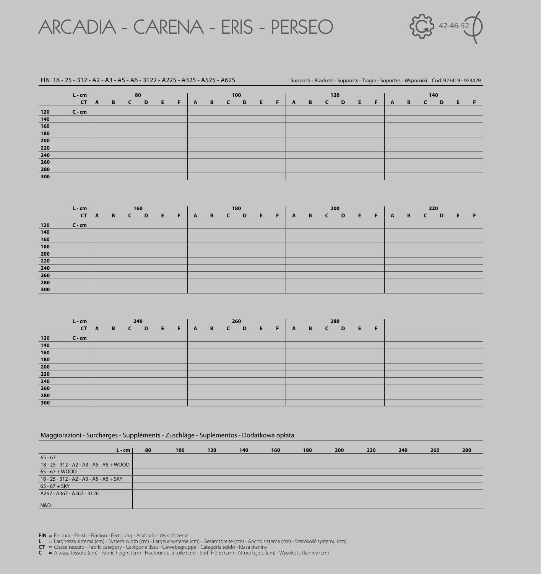ARCADIA - CARENA - ERIS - PERSEO  $\widetilde{G}$ 3 42-46-52



### FIN 18 - 25 - 312 - A2 - A3 - A5 - A6 - 3122 - A225 - A325 - A525 - A625 Supporti - Brackets - Supports - Träger - Soportes - Wsporniki Cod. 923419 - 923429

|            | $L - cm$  |   |              | 80 |   |       |    |              |   |   | 100 |   |    |   |          |    | 120 |     |     |              |          |            | 140 |   |   |
|------------|-----------|---|--------------|----|---|-------|----|--------------|---|---|-----|---|----|---|----------|----|-----|-----|-----|--------------|----------|------------|-----|---|---|
|            | <b>CT</b> | A | $\mathbf{B}$ |    | D | - E 1 | F. | $\mathbf{A}$ | B | C | D   | E | F. | A | <b>B</b> | C. | D   | - E | - F | $\mathbf{A}$ | <b>B</b> | $\epsilon$ | D   | Е | Е |
| 120        | $C$ - cm  |   |              |    |   |       |    |              |   |   |     |   |    |   |          |    |     |     |     |              |          |            |     |   |   |
| 140        |           |   |              |    |   |       |    |              |   |   |     |   |    |   |          |    |     |     |     |              |          |            |     |   |   |
| 160        |           |   |              |    |   |       |    |              |   |   |     |   |    |   |          |    |     |     |     |              |          |            |     |   |   |
| 180        |           |   |              |    |   |       |    |              |   |   |     |   |    |   |          |    |     |     |     |              |          |            |     |   |   |
| 200        |           |   |              |    |   |       |    |              |   |   |     |   |    |   |          |    |     |     |     |              |          |            |     |   |   |
| $220$      |           |   |              |    |   |       |    |              |   |   |     |   |    |   |          |    |     |     |     |              |          |            |     |   |   |
| 240        |           |   |              |    |   |       |    |              |   |   |     |   |    |   |          |    |     |     |     |              |          |            |     |   |   |
| 260        |           |   |              |    |   |       |    |              |   |   |     |   |    |   |          |    |     |     |     |              |          |            |     |   |   |
| <b>280</b> |           |   |              |    |   |       |    |              |   |   |     |   |    |   |          |    |     |     |     |              |          |            |     |   |   |
| 300        |           |   |              |    |   |       |    |              |   |   |     |   |    |   |          |    |     |     |     |              |          |            |     |   |   |

|               | $L - cm$  |   |   | 160 |   |   |    |              |   | 180 |   |    |   |   |   | 200 |   |   |    |   |   | 220 |   |   |  |
|---------------|-----------|---|---|-----|---|---|----|--------------|---|-----|---|----|---|---|---|-----|---|---|----|---|---|-----|---|---|--|
|               | <b>CT</b> | A | B |     | D | E | F. | $\mathbf{A}$ | B | C   | D | E. | Е | A | B |     | D | E | F. | A | B |     | D | E |  |
| 120           | $C - cm$  |   |   |     |   |   |    |              |   |     |   |    |   |   |   |     |   |   |    |   |   |     |   |   |  |
| 140           |           |   |   |     |   |   |    |              |   |     |   |    |   |   |   |     |   |   |    |   |   |     |   |   |  |
| 160           |           |   |   |     |   |   |    |              |   |     |   |    |   |   |   |     |   |   |    |   |   |     |   |   |  |
| <b>180</b>    |           |   |   |     |   |   |    |              |   |     |   |    |   |   |   |     |   |   |    |   |   |     |   |   |  |
| $\boxed{200}$ |           |   |   |     |   |   |    |              |   |     |   |    |   |   |   |     |   |   |    |   |   |     |   |   |  |
| $220$         |           |   |   |     |   |   |    |              |   |     |   |    |   |   |   |     |   |   |    |   |   |     |   |   |  |
| 240           |           |   |   |     |   |   |    |              |   |     |   |    |   |   |   |     |   |   |    |   |   |     |   |   |  |
| 260           |           |   |   |     |   |   |    |              |   |     |   |    |   |   |   |     |   |   |    |   |   |     |   |   |  |
| 280           |           |   |   |     |   |   |    |              |   |     |   |    |   |   |   |     |   |   |    |   |   |     |   |   |  |
| 300           |           |   |   |     |   |   |    |              |   |     |   |    |   |   |   |     |   |   |    |   |   |     |   |   |  |

|                                                                   | $L - cm$  |              |              | 240      |   |       |   |              |          | 260 |   |    |    |   |   | 280 |   |   |     |  |
|-------------------------------------------------------------------|-----------|--------------|--------------|----------|---|-------|---|--------------|----------|-----|---|----|----|---|---|-----|---|---|-----|--|
|                                                                   | <b>CT</b> | $\mathbf{A}$ | $\mathbf{B}$ | <b>C</b> | D | - E - | F | $\mathbf{A}$ | <b>B</b> | C   | D | E. | F. | A | B | ▔⊂  | D | E | - F |  |
| 120                                                               | $C - cm$  |              |              |          |   |       |   |              |          |     |   |    |    |   |   |     |   |   |     |  |
| 140                                                               |           |              |              |          |   |       |   |              |          |     |   |    |    |   |   |     |   |   |     |  |
| 160                                                               |           |              |              |          |   |       |   |              |          |     |   |    |    |   |   |     |   |   |     |  |
| 180                                                               |           |              |              |          |   |       |   |              |          |     |   |    |    |   |   |     |   |   |     |  |
|                                                                   |           |              |              |          |   |       |   |              |          |     |   |    |    |   |   |     |   |   |     |  |
| $\begin{array}{r} \n \textbf{200} \\  \textbf{220}\n \end{array}$ |           |              |              |          |   |       |   |              |          |     |   |    |    |   |   |     |   |   |     |  |
| 240                                                               |           |              |              |          |   |       |   |              |          |     |   |    |    |   |   |     |   |   |     |  |
| 260                                                               |           |              |              |          |   |       |   |              |          |     |   |    |    |   |   |     |   |   |     |  |
| 280                                                               |           |              |              |          |   |       |   |              |          |     |   |    |    |   |   |     |   |   |     |  |
| 300                                                               |           |              |              |          |   |       |   |              |          |     |   |    |    |   |   |     |   |   |     |  |

## Maggiorazioni - Surcharges - Suppléments - Zuschläge - Suplementos - Dodatkowa opłata

| $L - cm$                                   | 80 | 100 | 120 | 140 | 160 | 180 | 200 | <b>220</b> | 240 | 260 | 280 |
|--------------------------------------------|----|-----|-----|-----|-----|-----|-----|------------|-----|-----|-----|
| $65 - 67$                                  |    |     |     |     |     |     |     |            |     |     |     |
| $18 - 25 - 312 - A2 - A3 - A5 - A6 + WOOD$ |    |     |     |     |     |     |     |            |     |     |     |
| $65 - 67 + WOOD$                           |    |     |     |     |     |     |     |            |     |     |     |
| 18 - 25 - 312 - A2 - A3 - A5 - A6 + SKY    |    |     |     |     |     |     |     |            |     |     |     |
| $65 - 67 + SKY$                            |    |     |     |     |     |     |     |            |     |     |     |
| A267 - A367 - A567 - 3126                  |    |     |     |     |     |     |     |            |     |     |     |
| N&D                                        |    |     |     |     |     |     |     |            |     |     |     |

**FIN =** Finitura - Finish - Finition - Fertigung - Acabado - Wykończenie

**CT =** Classe tessuto - Fabric category - Catégorie tissu - Gewebegruppe - Categoría tejido - Klasa tkaniny

**L =** Larghezza sistema (cm) - System width (cm) - Largeur système (cm) - Gesamtbreite (cm) - Ancho sistema (cm) - Szerokość systemu (cm)

 $C$  = Altezza tessuto (cm) - Fabric height (cm) - Hauteur de la toile (cm) - Stoff Höhe (cm) - Altura tejido (cm) - Wysokość tkaniny (cm)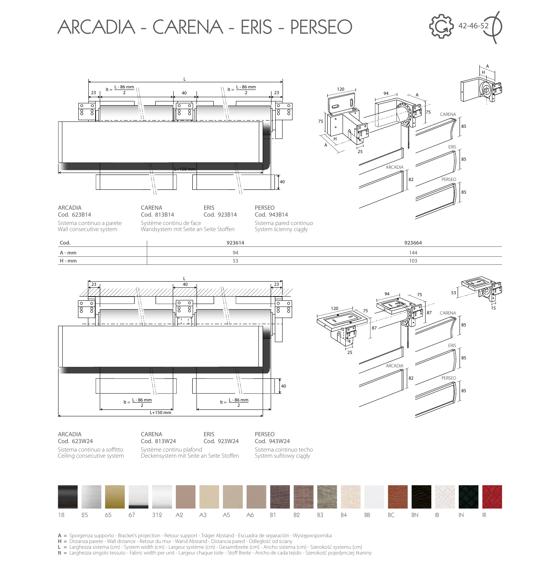# ARCADIA - CARENA - ERIS - PERSEO 42-46-52





**H - mm** 53 103





ARCADIA Cod. 623W24 CARENA Cod. 813W24 ERIS Cod. 923W24 PERSEO Cod. 943W24 Sistema continuo a soffitto Ceiling consecutive system Système continu plafond Deckensystem mit Seite an Seite Stoffen Sistema continuo techo System sufitowy ciągły



**A =** Sporgenza supporto - Bracket's projection - Retour support - Träger Abstand - Escuadra de separación - Występwspornika

**H =** Distanza parete - Wall distance - Retour du mur - Wand Abstand - Distancia pared - Odległość od ściany

**L =** Larghezza sistema (cm) - System width (cm) - Largeur système (cm) - Gesamtbreite (cm) - Ancho sistema (cm) - Szerokość systemu (cm)

It = Larghezza singolo tessuto - Fabric width per unit - Largeur chaque toile - Stoff Breite - Ancho de cada tejido - Szerokość pojedynczej tkaniny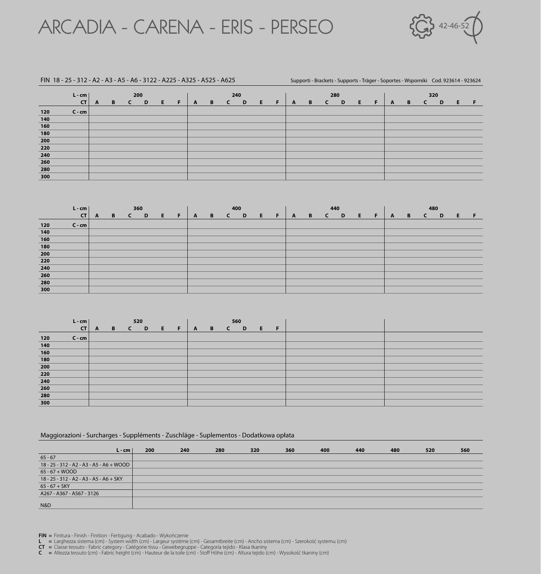ARCADIA - CARENA - ERIS - PERSEO  $\widetilde{G}$ 3 42-46-52



### FIN 18 - 25 - 312 - A2 - A3 - A5 - A6 - 3122 - A225 - A325 - A525 - A625 Supporti - Brackets - Supports - Träger - Soportes - Wsporniki Cod. 923614 - 923624

|       | $L - cm$  |   |              | 200        |   |   |    |   |              |            | 240 |   |    |   |          |              | 280 |   |     |              |          |   | 320 |    |    |
|-------|-----------|---|--------------|------------|---|---|----|---|--------------|------------|-----|---|----|---|----------|--------------|-----|---|-----|--------------|----------|---|-----|----|----|
|       | <b>CT</b> | A | $\mathbf{B}$ | $\epsilon$ | D | E | F. | A | $\mathbf{B}$ | $\epsilon$ | D   | E | F. | A | <b>B</b> | $\mathsf{C}$ | D   | E | - F | $\mathbf{A}$ | <b>B</b> | C | D   | E. | .F |
| 120   | $C - cm$  |   |              |            |   |   |    |   |              |            |     |   |    |   |          |              |     |   |     |              |          |   |     |    |    |
| 140   |           |   |              |            |   |   |    |   |              |            |     |   |    |   |          |              |     |   |     |              |          |   |     |    |    |
| 160   |           |   |              |            |   |   |    |   |              |            |     |   |    |   |          |              |     |   |     |              |          |   |     |    |    |
| 180   |           |   |              |            |   |   |    |   |              |            |     |   |    |   |          |              |     |   |     |              |          |   |     |    |    |
| 200   |           |   |              |            |   |   |    |   |              |            |     |   |    |   |          |              |     |   |     |              |          |   |     |    |    |
| 220   |           |   |              |            |   |   |    |   |              |            |     |   |    |   |          |              |     |   |     |              |          |   |     |    |    |
| 240   |           |   |              |            |   |   |    |   |              |            |     |   |    |   |          |              |     |   |     |              |          |   |     |    |    |
| $260$ |           |   |              |            |   |   |    |   |              |            |     |   |    |   |          |              |     |   |     |              |          |   |     |    |    |
| $280$ |           |   |              |            |   |   |    |   |              |            |     |   |    |   |          |              |     |   |     |              |          |   |     |    |    |
| 300   |           |   |              |            |   |   |    |   |              |            |     |   |    |   |          |              |     |   |     |              |          |   |     |    |    |

|       | $L - cm$ |   |   | 360 |          |       |    |              |          | 400 |   |    |    |   |   | 440 |   |   |    |   |          | 480 |   |   |  |
|-------|----------|---|---|-----|----------|-------|----|--------------|----------|-----|---|----|----|---|---|-----|---|---|----|---|----------|-----|---|---|--|
|       | CT       | A | B |     | <b>D</b> | - E - | F. | $\mathbf{A}$ | <b>B</b> | C.  | D | E. | F. | A | B | C   | D | E | F. | A | <b>B</b> | C   | D | Е |  |
| 120   | $C - cm$ |   |   |     |          |       |    |              |          |     |   |    |    |   |   |     |   |   |    |   |          |     |   |   |  |
| 140   |          |   |   |     |          |       |    |              |          |     |   |    |    |   |   |     |   |   |    |   |          |     |   |   |  |
| 160   |          |   |   |     |          |       |    |              |          |     |   |    |    |   |   |     |   |   |    |   |          |     |   |   |  |
| 180   |          |   |   |     |          |       |    |              |          |     |   |    |    |   |   |     |   |   |    |   |          |     |   |   |  |
| 200   |          |   |   |     |          |       |    |              |          |     |   |    |    |   |   |     |   |   |    |   |          |     |   |   |  |
| $220$ |          |   |   |     |          |       |    |              |          |     |   |    |    |   |   |     |   |   |    |   |          |     |   |   |  |
| 240   |          |   |   |     |          |       |    |              |          |     |   |    |    |   |   |     |   |   |    |   |          |     |   |   |  |
| 260   |          |   |   |     |          |       |    |              |          |     |   |    |    |   |   |     |   |   |    |   |          |     |   |   |  |
| 280   |          |   |   |     |          |       |    |              |          |     |   |    |    |   |   |     |   |   |    |   |          |     |   |   |  |
| 300   |          |   |   |     |          |       |    |              |          |     |   |    |    |   |   |     |   |   |    |   |          |     |   |   |  |

|                                                                 | $L - cm$ |   |              | 520 |   |   |   |   |   | 560 |    |    |  |
|-----------------------------------------------------------------|----------|---|--------------|-----|---|---|---|---|---|-----|----|----|--|
|                                                                 | CT       | A | $\mathbf{B}$ |     | D | E | F | A | B | D   | E. | F. |  |
| 120                                                             | $C$ - cm |   |              |     |   |   |   |   |   |     |    |    |  |
| 140                                                             |          |   |              |     |   |   |   |   |   |     |    |    |  |
| 160                                                             |          |   |              |     |   |   |   |   |   |     |    |    |  |
| 180                                                             |          |   |              |     |   |   |   |   |   |     |    |    |  |
|                                                                 |          |   |              |     |   |   |   |   |   |     |    |    |  |
| $\begin{array}{ c c }\n\hline\n200 \\ \hline\n220\n\end{array}$ |          |   |              |     |   |   |   |   |   |     |    |    |  |
| 240                                                             |          |   |              |     |   |   |   |   |   |     |    |    |  |
| 260                                                             |          |   |              |     |   |   |   |   |   |     |    |    |  |
| 280                                                             |          |   |              |     |   |   |   |   |   |     |    |    |  |
| 300                                                             |          |   |              |     |   |   |   |   |   |     |    |    |  |

## Maggiorazioni - Surcharges - Suppléments - Zuschläge - Suplementos - Dodatkowa opłata

| $L - cm$                                   | 200 | 240 | 280 | 320 | 360 | 400 | 440 | 480 | 520 | 560 |
|--------------------------------------------|-----|-----|-----|-----|-----|-----|-----|-----|-----|-----|
| $65 - 67$                                  |     |     |     |     |     |     |     |     |     |     |
| $18 - 25 - 312 - A2 - A3 - A5 - A6 + WOOD$ |     |     |     |     |     |     |     |     |     |     |
| $65 - 67 + WOOD$                           |     |     |     |     |     |     |     |     |     |     |
| 18 - 25 - 312 - A2 - A3 - A5 - A6 + SKY    |     |     |     |     |     |     |     |     |     |     |
| $65 - 67 + SKY$                            |     |     |     |     |     |     |     |     |     |     |
| A267 - A367 - A567 - 3126                  |     |     |     |     |     |     |     |     |     |     |
| N&D                                        |     |     |     |     |     |     |     |     |     |     |

**FIN =** Finitura - Finish - Finition - Fertigung - Acabado - Wykończenie

**CT =** Classe tessuto - Fabric category - Catégorie tissu - Gewebegruppe - Categoría tejido - Klasa tkaniny

**L =** Larghezza sistema (cm) - System width (cm) - Largeur système (cm) - Gesamtbreite (cm) - Ancho sistema (cm) - Szerokość systemu (cm)

**C =** Altezza tessuto (cm) - Fabric height (cm) - Hauteur de la toile (cm) - Sto Höhe (cm) - Altura tejido (cm) - Wysokość tkaniny (cm)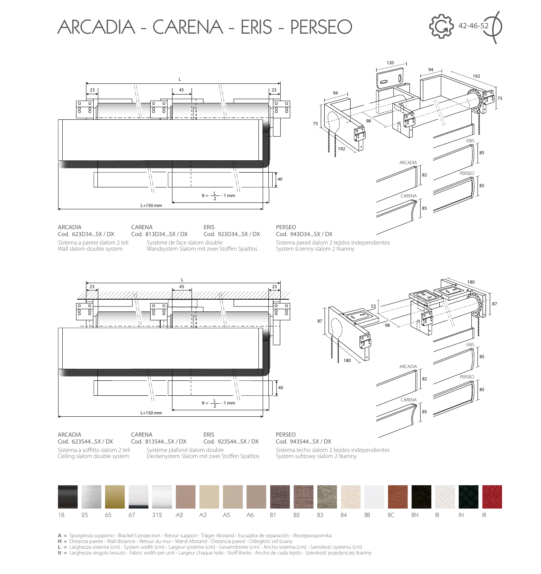# ARCADIA - CARENA - ERIS - PERSEO 42-46-52





Sistema a parete slalom 2 teli Wall slalom double system Système de face slalom double Wandsystem Slalom mit zwei Stoffen Spaltlos ARCADIA Cod. 623D34...SX / DX CARENA Cod. 813D34...SX / DX ERIS Cod. 923D34...SX / DX



Sistema pared slalom 2 tejidos independientes System ścienny slalom 2 tkaniny PERSEO Cod. 943D34...SX / DX



Sistema a soffitto slalom 2 teli<br>Ceiling slalom double system Ceiling slalom double system Système plafond slalom double Deckenystem Slalom mit zwei Stoen Spaltlos ARCADIA Cod. 623S44...SX / DX CARENA Cod. 813S44...SX / DX ERIS Cod. 923S44...SX / DX



Sistema techo slalom 2 tejidos independientes System sufitowy slalom 2 tkaniny PERSEO Cod. 943S44...SX / DX



**A =** Sporgenza supporto - Bracket's projection - Retour support - Träger Abstand - Escuadra de separación - Występwspornika

**H =** Distanza parete - Wall distance - Retour du mur - Wand Abstand - Distancia pared - Odległość od ściany

**L =** Larghezza sistema (cm) - System width (cm) - Largeur système (cm) - Gesamtbreite (cm) - Ancho sistema (cm) - Szerokość systemu (cm)

It = Larghezza singolo tessuto - Fabric width per unit - Largeur chaque toile - Stoff Breite - Ancho de cada tejido - Szerokość pojedynczej tkaniny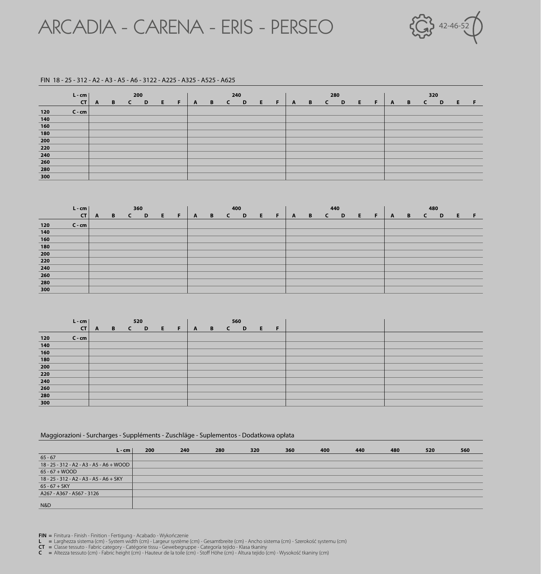ARCADIA - CARENA - ERIS - PERSEO (G) 42-46-52



#### FIN 18 - 25 - 312 - A2 - A3 - A5 - A6 - 3122 - A225 - A325 - A525 - A625

|     | $L - cm$  |   |   | 200 |   |     |   |   |   | 240 |   |    |    |   |   | 280 |   |    |     |   |          | 320        |   |   |   |
|-----|-----------|---|---|-----|---|-----|---|---|---|-----|---|----|----|---|---|-----|---|----|-----|---|----------|------------|---|---|---|
|     | <b>CT</b> | A | B |     | D | -E. | F | A | B | C   | D | E. | F. | A | B |     | D | E. | -F. | A | <b>B</b> | $\epsilon$ | D | E | E |
| 120 | $C - cm$  |   |   |     |   |     |   |   |   |     |   |    |    |   |   |     |   |    |     |   |          |            |   |   |   |
| 140 |           |   |   |     |   |     |   |   |   |     |   |    |    |   |   |     |   |    |     |   |          |            |   |   |   |
| 160 |           |   |   |     |   |     |   |   |   |     |   |    |    |   |   |     |   |    |     |   |          |            |   |   |   |
| 180 |           |   |   |     |   |     |   |   |   |     |   |    |    |   |   |     |   |    |     |   |          |            |   |   |   |
| 200 |           |   |   |     |   |     |   |   |   |     |   |    |    |   |   |     |   |    |     |   |          |            |   |   |   |
| 220 |           |   |   |     |   |     |   |   |   |     |   |    |    |   |   |     |   |    |     |   |          |            |   |   |   |
| 240 |           |   |   |     |   |     |   |   |   |     |   |    |    |   |   |     |   |    |     |   |          |            |   |   |   |
| 260 |           |   |   |     |   |     |   |   |   |     |   |    |    |   |   |     |   |    |     |   |          |            |   |   |   |
| 280 |           |   |   |     |   |     |   |   |   |     |   |    |    |   |   |     |   |    |     |   |          |            |   |   |   |
| 300 |           |   |   |     |   |     |   |   |   |     |   |    |    |   |   |     |   |    |     |   |          |            |   |   |   |

|     | $L - cm$                               |   |   | 360 |    |    |   |              |          | 400 |   |    |   |   |   | 440        |   |   |    |   |   | 480 |   |   |  |
|-----|----------------------------------------|---|---|-----|----|----|---|--------------|----------|-----|---|----|---|---|---|------------|---|---|----|---|---|-----|---|---|--|
|     | $\overline{\mathsf{C}}$ T <sub>h</sub> | A | B |     | D. | E. | F | $\mathbf{A}$ | <b>B</b> |     | D | F. | Е | A | B | $\epsilon$ | D | E | F. | A | B |     | D | F |  |
| 120 | $C - cm$                               |   |   |     |    |    |   |              |          |     |   |    |   |   |   |            |   |   |    |   |   |     |   |   |  |
| 140 |                                        |   |   |     |    |    |   |              |          |     |   |    |   |   |   |            |   |   |    |   |   |     |   |   |  |
| 160 |                                        |   |   |     |    |    |   |              |          |     |   |    |   |   |   |            |   |   |    |   |   |     |   |   |  |
| 180 |                                        |   |   |     |    |    |   |              |          |     |   |    |   |   |   |            |   |   |    |   |   |     |   |   |  |
| 200 |                                        |   |   |     |    |    |   |              |          |     |   |    |   |   |   |            |   |   |    |   |   |     |   |   |  |
| 220 |                                        |   |   |     |    |    |   |              |          |     |   |    |   |   |   |            |   |   |    |   |   |     |   |   |  |
| 240 |                                        |   |   |     |    |    |   |              |          |     |   |    |   |   |   |            |   |   |    |   |   |     |   |   |  |
| 260 |                                        |   |   |     |    |    |   |              |          |     |   |    |   |   |   |            |   |   |    |   |   |     |   |   |  |
| 280 |                                        |   |   |     |    |    |   |              |          |     |   |    |   |   |   |            |   |   |    |   |   |     |   |   |  |
| 300 |                                        |   |   |     |    |    |   |              |          |     |   |    |   |   |   |            |   |   |    |   |   |     |   |   |  |

|                 | $L - cm$  |   |   | 520 |   |       |   |              |   | 560 |   |    |    |  |
|-----------------|-----------|---|---|-----|---|-------|---|--------------|---|-----|---|----|----|--|
|                 | <b>CT</b> | A | B |     | D | - E - | Е | $\mathbf{A}$ | B | c   | D | E. | F. |  |
| 120             | $C$ - cm  |   |   |     |   |       |   |              |   |     |   |    |    |  |
| 140             |           |   |   |     |   |       |   |              |   |     |   |    |    |  |
| 160             |           |   |   |     |   |       |   |              |   |     |   |    |    |  |
| 180             |           |   |   |     |   |       |   |              |   |     |   |    |    |  |
| $\boxed{200}$   |           |   |   |     |   |       |   |              |   |     |   |    |    |  |
| 220             |           |   |   |     |   |       |   |              |   |     |   |    |    |  |
| $\boxed{240}$   |           |   |   |     |   |       |   |              |   |     |   |    |    |  |
| $\frac{260}{1}$ |           |   |   |     |   |       |   |              |   |     |   |    |    |  |
| 280             |           |   |   |     |   |       |   |              |   |     |   |    |    |  |
| 300             |           |   |   |     |   |       |   |              |   |     |   |    |    |  |

### Maggiorazioni - Surcharges - Suppléments - Zuschläge - Suplementos - Dodatkowa opłata

| $L - cm$                                   | 200 | 240 | 280 | 320 | 360 | 400 | 440 | 480 | 520 | 560 |
|--------------------------------------------|-----|-----|-----|-----|-----|-----|-----|-----|-----|-----|
| $65 - 67$                                  |     |     |     |     |     |     |     |     |     |     |
| $18 - 25 - 312 - A2 - A3 - A5 - A6 + WOOD$ |     |     |     |     |     |     |     |     |     |     |
| $65 - 67 + WOOD$                           |     |     |     |     |     |     |     |     |     |     |
| 18 - 25 - 312 - A2 - A3 - A5 - A6 + SKY    |     |     |     |     |     |     |     |     |     |     |
| $65 - 67 + SKY$                            |     |     |     |     |     |     |     |     |     |     |
| A267 - A367 - A567 - 3126                  |     |     |     |     |     |     |     |     |     |     |
| N&D                                        |     |     |     |     |     |     |     |     |     |     |

**FIN =** Finitura - Finish - Finition - Fertigung - Acabado - Wykończenie

- **CT =** Classe tessuto Fabric category Catégorie tissu Gewebegruppe Categoría tejido Klasa tkaniny
- **C =** Altezza tessuto (cm) Fabric height (cm) Hauteur de la toile (cm) Sto Höhe (cm) Altura tejido (cm) Wysokość tkaniny (cm)

**L =** Larghezza sistema (cm) - System width (cm) - Largeur système (cm) - Gesamtbreite (cm) - Ancho sistema (cm) - Szerokość systemu (cm)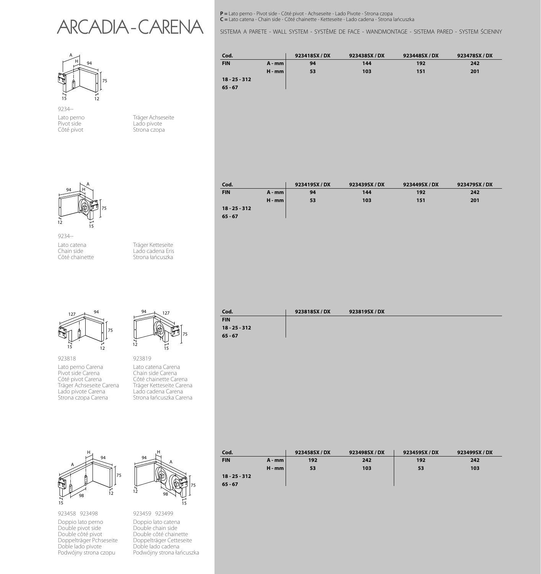ARCADIA-CARENA



9234-- Lato perno Pivot side Côté pivot

Träger Achseseite Lado pivote Strona czopa



9234-- Lato catena Chain side Côté chainette

Träger Ketteseite Lado cadena Eris Strona łańcuszka



923818 923819 Lato perno Carena Pivot side Carena Côté pivot Carena Träger Achseseite Carena Lado pivote Carena Strona czopa Carena



Lato catena Carena Chain side Carena Côté chainette Carena Träger Ketteseite Carena Lado cadena Carena Strona łańcuszka Carena **Cod. 923818SX / DX 923819SX / DX FIN 18 - 25 - 312 65 - 67**



923458 923498 923459 923499

Doppio lato perno Double pivot side Double côté pivot Doppelträger Pchseseite Doble lado pivote Podwójny strona czopu



Doppio lato catena Double chain side Double côté chainette Doppelträger Cetteseite Doble lado cadena Podwójny strona łańcuszka

| Cod.            |          | 923458SX/DX | 923498SX/DX | 923459SX / DX | 923499SX / DX |
|-----------------|----------|-------------|-------------|---------------|---------------|
| <b>FIN</b>      | $A - mm$ | 192         | 242         | 192           | 242           |
|                 | $H - mm$ | 53          | 103         | 53            | 103           |
| $18 - 25 - 312$ |          |             |             |               |               |
| $65 - 67$       |          |             |             |               |               |

| Cod.            |          | 923419SX/DX | 923439SX / DX | 923449SX / DX | 923479SX / DX |  |
|-----------------|----------|-------------|---------------|---------------|---------------|--|
| <b>FIN</b>      | A - mm   | 94          | 144           | 192           | 242           |  |
|                 | $H - mm$ | 53          | 103           | 151           | 201           |  |
| $18 - 25 - 312$ |          |             |               |               |               |  |
| $65 - 67$       |          |             |               |               |               |  |

| Cod.            |          | 923418SX/DX | 923438SX/DX | 923448SX / DX | 923478SX / DX |
|-----------------|----------|-------------|-------------|---------------|---------------|
| <b>FIN</b>      | A - mm   | 94          | 144         | 192           | 242           |
|                 | $H - mm$ | 53          | 103         | 151           | 201           |
| $18 - 25 - 312$ |          |             |             |               |               |
| $65 - 67$       |          |             |             |               |               |

**P =** Lato perno - Pivot side - Côté pivot - Achseseite - Lado Pivote - Strona czopa **C =** Lato catena - Chain side - Côté chainette - Ketteseite - Lado cadena - Strona lańcuszka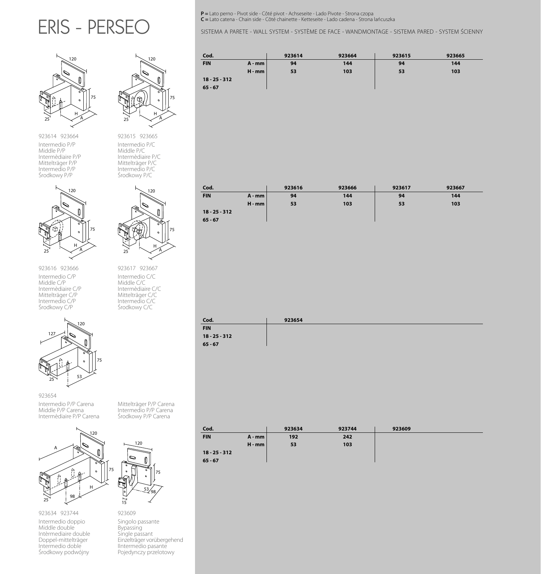# ERIS - PERSEO



923614 923664 923615 923665 Intermedio P/P Middle P/P Intermèdiaire P/P Mittelträger P/P Intermedio P/P Środkowy P/P



Intermedio C/P Middle C/P Intermèdiaire C/P Mittelträger C/P Intermedio C/P Środkowy C/P



923654

Intermedio P/P Carena Middle P/P Carena Intermèdiaire P/P Carena



120

Singolo passante Bypassing Single passant



923634 923744 923609

Intermedio doppio Middle double Intèrmediaire double Doppel-mittelträger Intermedio doble Środkowy podwójny



Intermedio P/C Middle P/C Intermèdiaire P/C Mittelträger P/C Intermedio P/C Środkowy P/C



923616 923666 923617 923667 Intermedio C/C Middle C/C Intermèdiaire C/C Mittelträger C/C Intermedio C/C Środkowy C/C

| Cod.            | 923654 |
|-----------------|--------|
| <b>FIN</b>      |        |
| $18 - 25 - 312$ |        |
| $65 - 67$       |        |
|                 |        |

53/<sub>98</sub>

Einzelträger vorübergehend IIntermedio pasante Pojedynczy przelotowy

75

| Cod.            |          | 923634 | 923744 | 923609 |  |
|-----------------|----------|--------|--------|--------|--|
| <b>FIN</b>      | $A - mm$ | 192    | 242    |        |  |
|                 | $H - mm$ | 53     | 103    |        |  |
| $18 - 25 - 312$ |          |        |        |        |  |
| $65 - 67$       |          |        |        |        |  |



| Cod.            |          | 923614 | 923664 | 923615 | 923665 |
|-----------------|----------|--------|--------|--------|--------|
| <b>FIN</b>      | $A - mm$ | 94     | 144    | 94     | 144    |
|                 | $H - mm$ | 53     | 103    | 53     | 103    |
| $18 - 25 - 312$ |          |        |        |        |        |
| $65 - 67$       |          |        |        |        |        |

| Cod.            |          | 923616 | 923666 | 923617 | 923667 |
|-----------------|----------|--------|--------|--------|--------|
| <b>FIN</b>      | $A - mm$ | 94     | 144    | 94     | 144    |
|                 | $H - mm$ | 53     | 103    | 53     | 103    |
| $18 - 25 - 312$ |          |        |        |        |        |
| $65 - 67$       |          |        |        |        |        |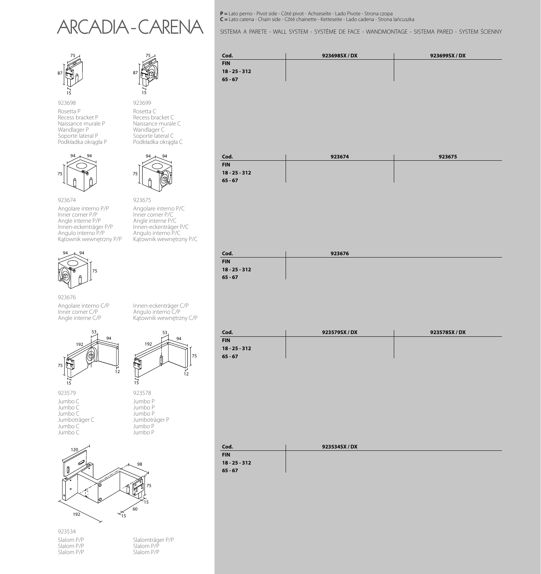# ARCADIA-CARENA

75

15

Rosetta C Recess bracket C Naissance murale C Wandlager C Soporte lateral C Podkładka okrągła C

75

 $94 + 94$ 

Angolare interno P/C Inner corner P/C Angle interne P/C Innen-eckenträger P/C Angulo interno P/C Kątownik wewnętrzny P/C

Innen-eckenträger C/P Angulo interno C/P Kątownik wewnętrzny C/P

53

192

 $^{17}_{15}$ 

**REE** 

Jumbo P Jumbo P Jumbo P Jumboträger P 94

 $12$ 

75



923698 923699

Rosetta P Recess bracket P Naissance murale P Wandlager P Soporte lateral P Podkładka okrągła P



923674 923675

Angolare interno P/P Inner corner P/P Angle interne P/P Innen-eckenträger P/P Angulo interno P/P Kątownik wewnętrzny P/P



923676 Angolare interno C/P Inner corner C/P Angle interne C/P





Jumbo C Jumbo C



923534 Slalom P/P Slalom P/P Slalom P/P

192

Slalomträger P/P Slalom P/P Slalom P/P

60

้าร

**P =** Lato perno - Pivot side - Côté pivot - Achseseite - Lado Pivote - Strona czopa **C =** Lato catena - Chain side - Côté chainette - Ketteseite - Lado cadena - Strona lańcuszka

| Cod.            | 923698SX / DX | 923699SX/DX |
|-----------------|---------------|-------------|
| <b>FIN</b>      |               |             |
| $18 - 25 - 312$ |               |             |
| $65 - 67$       |               |             |
|                 |               |             |

| Cod.            | 923674 | 923675 |
|-----------------|--------|--------|
| <b>FIN</b>      |        |        |
| $18 - 25 - 312$ |        |        |
| $65 - 67$       |        |        |

| Cod.            | 923676 |  |
|-----------------|--------|--|
| <b>FIN</b>      |        |  |
| $18 - 25 - 312$ |        |  |
| $65 - 67$       |        |  |

| <b>FIN</b>      |  |
|-----------------|--|
| $18 - 25 - 312$ |  |
| $65 - 67$       |  |

| Cod.            | 923534SX / DX |
|-----------------|---------------|
| <b>FIN</b>      |               |
| $18 - 25 - 312$ |               |
| $65 - 67$       |               |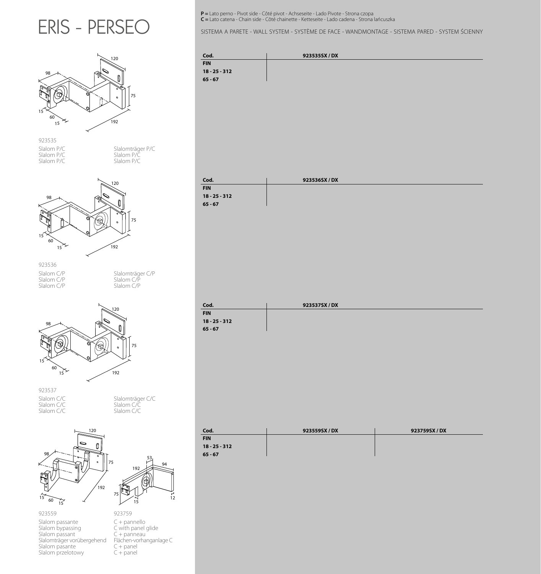



923559 923759 Slalom passante Slalom bypassing Slalom passant Slalomträger vorübergehend Slalom pasante<br>Slalom przelotowy

 $\overrightarrow{15}$ 

 $60 \frac{15}{15}$ 

 $C +$  pannell  $C$  with panel C + panneau Flächen-vorhanganlage C C + panel  $C +$  panel

15

75

**P =** Lato perno - Pivot side - Côté pivot - Achseseite - Lado Pivote - Strona czopa **C =** Lato catena - Chain side - Côté chainette - Ketteseite - Lado cadena - Strona lańcuszka

|                                           | Cod.            | 923535SX / DX |               |
|-------------------------------------------|-----------------|---------------|---------------|
|                                           | <b>FIN</b>      |               |               |
|                                           | $18 - 25 - 312$ |               |               |
|                                           | $65 - 67$       |               |               |
|                                           |                 |               |               |
|                                           |                 |               |               |
|                                           |                 |               |               |
|                                           |                 |               |               |
|                                           |                 |               |               |
|                                           |                 |               |               |
|                                           |                 |               |               |
|                                           |                 |               |               |
|                                           |                 |               |               |
| Pr P/C                                    |                 |               |               |
|                                           |                 |               |               |
|                                           |                 |               |               |
|                                           |                 |               |               |
|                                           | Cod.            | 923536SX / DX |               |
|                                           | <b>FIN</b>      |               |               |
|                                           | $18 - 25 - 312$ |               |               |
|                                           | $65 - 67$       |               |               |
|                                           |                 |               |               |
|                                           |                 |               |               |
|                                           |                 |               |               |
|                                           |                 |               |               |
|                                           |                 |               |               |
|                                           |                 |               |               |
|                                           |                 |               |               |
|                                           |                 |               |               |
|                                           |                 |               |               |
| er C/P                                    |                 |               |               |
|                                           |                 |               |               |
|                                           |                 |               |               |
|                                           |                 |               |               |
|                                           | Cod.            | 923537SX / DX |               |
|                                           | <b>FIN</b>      |               |               |
|                                           |                 |               |               |
|                                           | $18 - 25 - 312$ |               |               |
|                                           | $65 - 67$       |               |               |
|                                           |                 |               |               |
|                                           |                 |               |               |
|                                           |                 |               |               |
|                                           |                 |               |               |
|                                           |                 |               |               |
|                                           |                 |               |               |
|                                           |                 |               |               |
|                                           |                 |               |               |
| er C/C                                    |                 |               |               |
|                                           |                 |               |               |
|                                           |                 |               |               |
|                                           |                 |               |               |
|                                           |                 |               |               |
|                                           | Cod.            | 923559SX / DX | 923759SX / DX |
|                                           | <b>FIN</b>      |               |               |
|                                           | $18 - 25 - 312$ |               |               |
|                                           | $65 - 67$       |               |               |
| $\sum_{\alpha}^{53}$                      |                 |               |               |
| 94                                        |                 |               |               |
| ١                                         |                 |               |               |
|                                           |                 |               |               |
|                                           |                 |               |               |
| $\frac{1}{12}$                            |                 |               |               |
|                                           |                 |               |               |
|                                           |                 |               |               |
|                                           |                 |               |               |
| lo<br>el glide<br><sub>hanganlage C</sub> |                 |               |               |
|                                           |                 |               |               |
|                                           |                 |               |               |
|                                           |                 |               |               |
|                                           |                 |               |               |
|                                           |                 |               |               |
|                                           |                 |               |               |
|                                           |                 |               |               |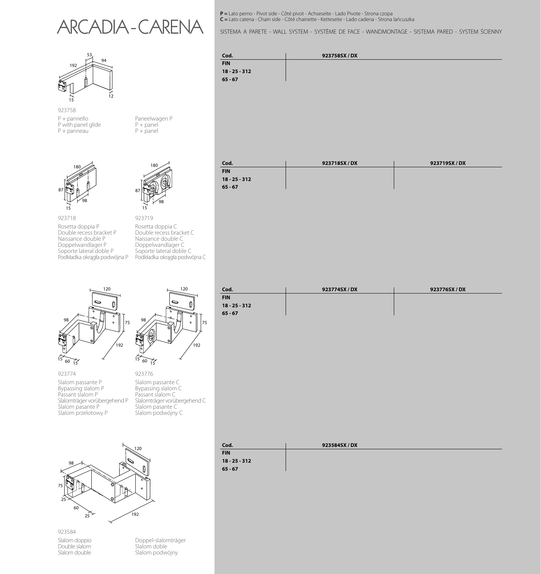



923758 P + pannello P with panel glide P + panneau

Paneelwagen P P + panel P + panel





923718 923719 Rosetta doppia P Double recess bracket P Naissance double P Doppelwandlager P Soporte lateral doble P Podkładka okrągła podwójna P

15 Rosetta doppia C Double recess bracket C Naissance double C Doppelwandlager C Soporte lateral doble C

Podkładka okrągła podwójna C

| Cod.            | 923718SX / DX | 923719SX/DX |
|-----------------|---------------|-------------|
| <b>FIN</b>      |               |             |
| $18 - 25 - 312$ |               |             |
| $65 - 67$       |               |             |

|          | 120                     |                |
|----------|-------------------------|----------------|
|          |                         |                |
| 98       | о<br>۰<br>75<br>$\circ$ |                |
|          | R                       | 可乳人            |
| x<br>٥   | œ<br>192                |                |
| 15<br>60 |                         | $\widehat{15}$ |

923774 923776 Slalom passante P Bypassing slalom P Passant slalom P Slalomträger vorübergehend P Slalom pasante P Slalom przelotowy P



Slalom passante C Bypassing slalom C Passant slalom C Slalomträger vorübergehend C Slalom pasante C Slalom podwójny C



**Cod. 923774SX / DX 923776SX / DX**



923584 Slalom doppio Double slalom Slalom double

Doppel-slalomträger Slalom doble Slalom podwójny

**Cod. 923584SX / DX FIN 18 - 25 - 312 65 - 67**

**P =** Lato perno - Pivot side - Côté pivot - Achseseite - Lado Pivote - Strona czopa **C =** Lato catena - Chain side - Côté chainette - Ketteseite - Lado cadena - Strona lańcuszka

| Cod.            | 923758SX / DX |  |
|-----------------|---------------|--|
| <b>FIN</b>      |               |  |
| $18 - 25 - 312$ |               |  |
| $65 - 67$       |               |  |
|                 |               |  |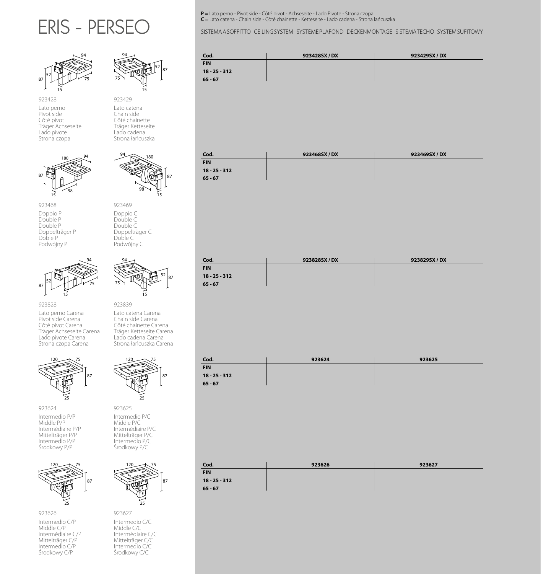

923428 923429 Lato perno Pivot side Côté pivot Träger Achseseite Lado pivote Strona czopa





Doppio P Double P Double P Doppelträger P Doble P Podwójny P



923828 923839 Lato perno Carena Pivot side Carena Côté pivot Carena Träger Achseseite Carena Lado pivote Carena Strona czopa Carena



923624 923625 Intermedio P/P Middle P/P Intermèdiaire P/P Mittelträger P/P Intermedio P/P Środkowy P/P



923626 923627

Intermedio C/P Middle C/P Intermèdiaire C/P Mittelträger C/P Intermedio C/P Środkowy C/P



180

98

15

Lato catena Carena Chain side Carena Côté chainette Carena Träger Ketteseite Carena Lado cadena Carena Strona łańcuszka Carena

120

87

 $\frac{52}{87}$ 

87

75

15

Lato catena Chain side Côté chainette Träger Ketteseite Lado cadena Strona łańcuszka

94

Doppio C Double C Double C Doppelträger C Doble C Podwójny C

94

**P =** Lato perno - Pivot side - Côté pivot - Achseseite - Lado Pivote - Strona czopa **C =** Lato catena - Chain side - Côté chainette - Ketteseite - Lado cadena - Strona lańcuszka

ERIS - PERSEO SISTEMA A SOFFITTO-CEILING SYSTEM-SYSTÈME PLAFOND-DECKENMONTAGE-SISTEMATECHO-SYSTEM SUFITOWY

| Cod.            | 923428SX / DX | 923429SX/DX |
|-----------------|---------------|-------------|
| <b>FIN</b>      |               |             |
| $18 - 25 - 312$ |               |             |
| $65 - 67$       |               |             |
|                 |               |             |
|                 |               |             |

| Cod.            | 923468SX / DX | 923469SX / DX |
|-----------------|---------------|---------------|
| <b>FIN</b>      |               |               |
| $18 - 25 - 312$ |               |               |
| $65 - 67$       |               |               |
|                 |               |               |

| Cod.            | 923828SX/DX | 923829SX/DX |
|-----------------|-------------|-------------|
| <b>FIN</b>      |             |             |
| $18 - 25 - 312$ |             |             |
| $65 - 67$       |             |             |

| Cod.            | 923624 | 923625 |
|-----------------|--------|--------|
| <b>FIN</b>      |        |        |
| $18 - 25 - 312$ |        |        |
| $65 - 67$       |        |        |

Intermedio P/C Middle P/C Intermèdiaire P/C Mittelträger P/C Intermedio P/C Środkowy P/C

25



Intermedio C/C Middle C/C Intermèdiaire C/C Mittelträger C/C Intermedio C/C Środkowy C/C

| Cod.            | 923626 | 923627 |
|-----------------|--------|--------|
| <b>FIN</b>      |        |        |
| $18 - 25 - 312$ |        |        |
| $65 - 67$       |        |        |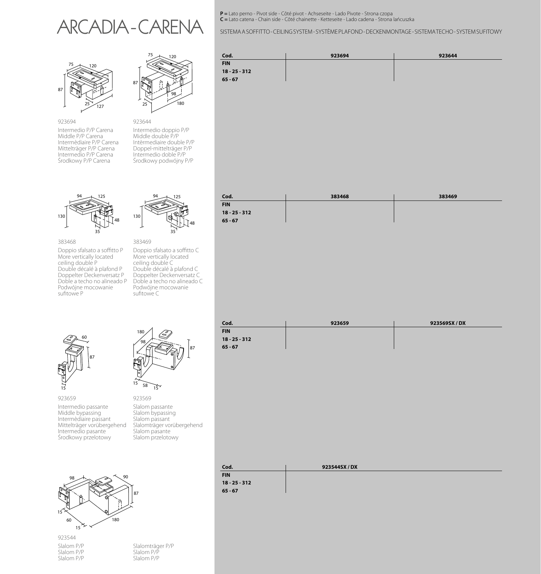



923694 923644

Intermedio P/P Carena Middle P/P Carena Intermèdiaire P/P Carena Mittelträger P/P Carena Intermedio P/P Carena Środkowy P/P Carena



Intermedio doppio P/P Middle double P/P Intèrmediaire double P/P Doppel-mittelträger P/P Intermedio doble P/P Środkowy podwójny P/P



383468 383469

130

Doppio sfalsato a soffitto P More vertically located ceiling double P Double décalé à plafond P Doppelter Deckenversatz P Doble a techo no alineado P Podwójne mocowanie sufitowe P



Doppio sfalsato a soffitto C More vertically located ceiling double C Double décalé à plafond C Doppelter Deckenversatz C Doble a techo no alineado C Podwójne mocowanie sufitowe C

60 87



15

Intermedio passante Middle bypassing Intermèdiaire passant Mittelträger vorübergehend Intermedio pasante Środkowy przelotowy

923659 923569 Slalom passante Slalom bypassing Slalom passant Slalomträger vorübergehend Slalom pasante

Slalom przelotowy



923544

Slalom P/P Slalom P/P Slalom P/P Slalomträger P/P Slalom P/P Slalom P/P

**P =** Lato perno - Pivot side - Côté pivot - Achseseite - Lado Pivote - Strona czopa **C =** Lato catena - Chain side - Côté chainette - Ketteseite - Lado cadena - Strona lańcuszka

SISTEMAASOFFITTO-CEILINGSYSTEM-SYSTÈMEPLAFOND-DECKENMONTAGE-SISTEMATECHO-SYSTEMSUFITOWY

| Cod.            | 923694 | 923644 |
|-----------------|--------|--------|
| <b>FIN</b>      |        |        |
| $18 - 25 - 312$ |        |        |
| $65 - 67$       |        |        |
|                 |        |        |

| Cod.            | 383468 | 383469 |
|-----------------|--------|--------|
| <b>FIN</b>      |        |        |
| $18 - 25 - 312$ |        |        |
| $65 - 67$       |        |        |

| Cod.            | 923659 | 923569SX/DX |
|-----------------|--------|-------------|
| <b>FIN</b>      |        |             |
| $18 - 25 - 312$ |        |             |
| $65 - 67$       |        |             |
|                 |        |             |

| Cod.            | 923544SX / DX |
|-----------------|---------------|
| <b>FIN</b>      |               |
| $18 - 25 - 312$ |               |
| $65 - 67$       |               |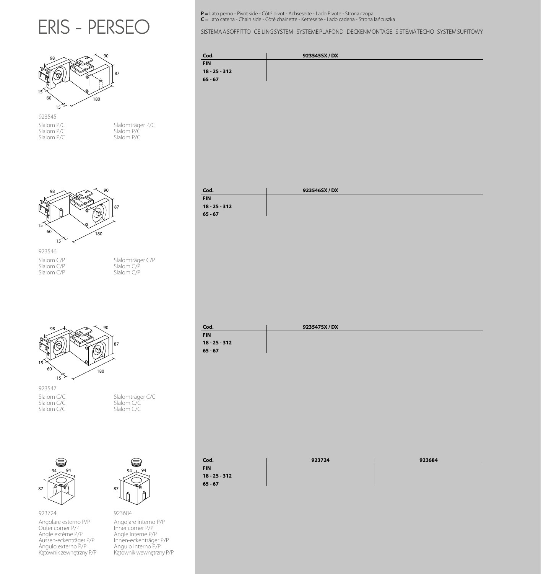



923545 Slalom P/C Slalom P/C Slalom P/C

Slalomträger P/C Slalom P/C Slalom P/C



923546 Slalom C/P Slalom C/P Slalom C/P

#### Slalomträger C/P Slalom C/P Slalom C/P



923547 Slalom C/C Slalom C/C Slalom C/C



**Cod. 923547SX / DX FIN 18 - 25 - 312 65 - 67**

94 8<sup>-</sup> 94

923724 923684

Angolare esterno P/P Outer corner P/P Angle extèrne P/P Aussen-eckenträger P/P Ángulo externo P/P Kątownik zewnętrzny P/P



Angolare interno P/P Inner corner P/P Angle interne P/P Innen-eckenträger P/P Angulo interno P/P Kątownik wewnętrzny P/P

| Cod.            | 923724 | 923684 |
|-----------------|--------|--------|
| <b>FIN</b>      |        |        |
| $18 - 25 - 312$ |        |        |
| 65 - 67         |        |        |

**P =** Lato perno - Pivot side - Côté pivot - Achseseite - Lado Pivote - Strona czopa **C =** Lato catena - Chain side - Côté chainette - Ketteseite - Lado cadena - Strona lańcuszka

**Cod. 923546SX / DX**

**FIN**

**18 - 25 - 312 65 - 67**

SISTEMAASOFFITTO-CEILINGSYSTEM-SYSTÈMEPLAFOND-DECKENMONTAGE-SISTEMATECHO-SYSTEMSUFITOWY

| 923545SX/DX |
|-------------|
|             |
|             |
|             |
|             |
|             |
|             |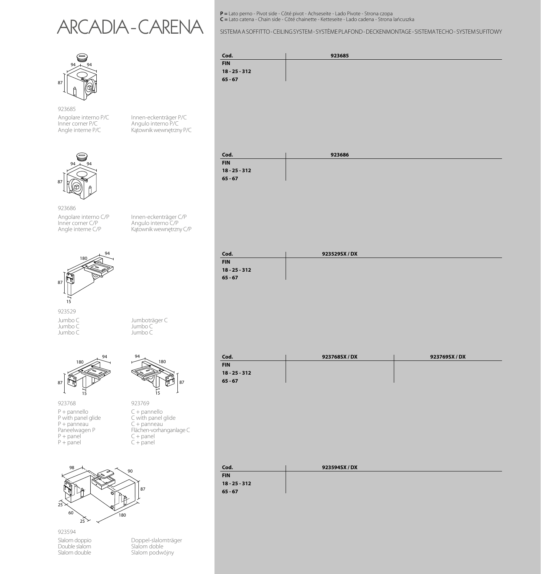



923685 Angolare interno P/C Inner corner P/C Angle interne P/C



923686 Angolare interno C/P Inner corner C/P Angle interne C/P



Jumboträger C Jumbo C Jumbo C

94

180

15

Flächen-vorhanganlage C

C + pannello C with panel glide  $C +$  panneau

C + panel C + panel 87

Innen-eckenträger P/C Angulo interno P/C Kątownik wewnętrzny P/C



923529 Jumbo C Jumbo C Jumbo C



923768 923769

P + pannello P with panel glide P + panneau Paneelwagen P P + panel P + panel



923594 Slalom doppio Double slalom Slalom double

Doppel-slalomträger Slalom doble Slalom podwójny

**P =** Lato perno - Pivot side - Côté pivot - Achseseite - Lado Pivote - Strona czopa **C =** Lato catena - Chain side - Côté chainette - Ketteseite - Lado cadena - Strona lańcuszka

SISTEMAASOFFITTO-CEILINGSYSTEM-SYSTÈMEPLAFOND-DECKENMONTAGE-SISTEMATECHO-SYSTEMSUFITOWY

| Cod.            | 923685 |  |
|-----------------|--------|--|
| <b>FIN</b>      |        |  |
| $18 - 25 - 312$ |        |  |
| $65 - 67$       |        |  |
|                 |        |  |

| Cod.            | 923686 |  |
|-----------------|--------|--|
| <b>FIN</b>      |        |  |
| $18 - 25 - 312$ |        |  |
| $65 - 67$       |        |  |

| Cod.            | 923529SX / DX |  |
|-----------------|---------------|--|
| <b>FIN</b>      |               |  |
| $18 - 25 - 312$ |               |  |
| $65 - 67$       |               |  |

| Cod.            | 923768SX / DX | 923769SX / DX |
|-----------------|---------------|---------------|
| <b>FIN</b>      |               |               |
| $18 - 25 - 312$ |               |               |
| $65 - 67$       |               |               |

| Cod.            | 923594SX / DX |
|-----------------|---------------|
| <b>FIN</b>      |               |
| $18 - 25 - 312$ |               |
| $65 - 67$       |               |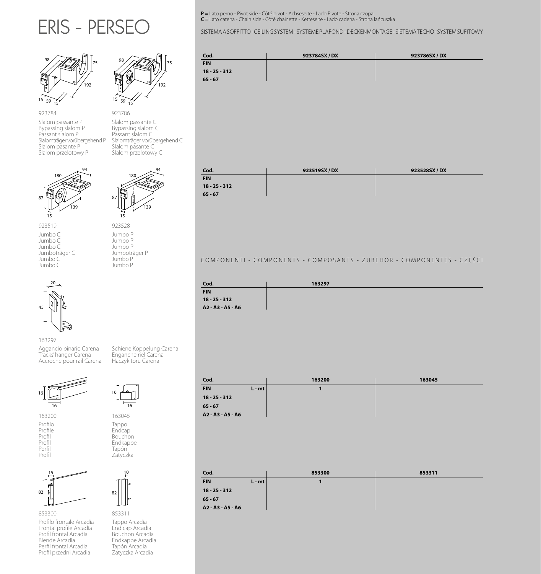# ERIS - PERSEO



923784 923786 Slalom passante P Bypassing slalom P Passant slalom P Slalomträger vorübergehend P Slalom pasante P Slalom przelotowy P



923519 923528 Jumbo C Jumbo C Jumbo C Jumboträger C Jumbo C Jumbo C



163297 Aggancio binario Carena Tracks' hanger Carena Accroche pour rail Carena



163200 163045 Profilo Profile Profil Profil Perfil

Profil



853300 853311

Profilo frontale Arcadia Frontal profile Arcadia Profil frontal Arcadia Blende Arcadia Perfil frontal Arcadia Profil przedni Arcadia



Slalom passante C Bypassing slalom C Passant slalom C Slalomträger vorübergehend C Slalom pasante C Slalom przelotowy C



Jumbo P Jumbo P Jumbo P Jumbo P Jumbo P



Jumboträger P

Schiene Koppelung Carena

16

Tappo **Endcap Bouchon** Endkappe Tapón Zatyczka

 $^{10}_{+1}$ 

Tappo Arcadia End cap Arcadia Bouchon Arcadia Endkappe Arcadia Tapón Arcadia Zatyczka Arcadia

82

16

#### **P =** Lato perno - Pivot side - Côté pivot - Achseseite - Lado Pivote - Strona czopa **C =** Lato catena - Chain side - Côté chainette - Ketteseite - Lado cadena - Strona lańcuszka

SISTEMAASOFFITTO-CEILINGSYSTEM-SYSTÈMEPLAFOND-DECKENMONTAGE-SISTEMATECHO-SYSTEMSUFITOWY

| Cod.            | 923784SX / DX | 923786SX/DX |
|-----------------|---------------|-------------|
| <b>FIN</b>      |               |             |
| $18 - 25 - 312$ |               |             |
| $65 - 67$       |               |             |
|                 |               |             |

| Cod.            | 923519SX/DX | 923528SX/DX |
|-----------------|-------------|-------------|
| <b>FIN</b>      |             |             |
| $18 - 25 - 312$ |             |             |
| $65 - 67$       |             |             |

## COMPONENTI - COMPONENTS - COMPOSANTS - ZUBEHÖR - COMPONENTES - CZĘŚCI

| Cod.              | 163297 |  |
|-------------------|--------|--|
| <b>FIN</b>        |        |  |
| $18 - 25 - 312$   |        |  |
| A2 - A3 - A5 - A6 |        |  |

| Enganche riel Carena<br>Haczyk toru Carena |      |  |
|--------------------------------------------|------|--|
|                                            | Cod. |  |

| Cod.                   | 163200 | 163045 |
|------------------------|--------|--------|
| <b>FIN</b><br>$L - mt$ |        |        |
| $18 - 25 - 312$        |        |        |
| $65 - 67$              |        |        |
| A2 - A3 - A5 - A6      |        |        |

| Cod.              |          | 853300 | 853311 |
|-------------------|----------|--------|--------|
| <b>FIN</b>        | $L - mt$ |        |        |
| $18 - 25 - 312$   |          |        |        |
| $65 - 67$         |          |        |        |
| A2 - A3 - A5 - A6 |          |        |        |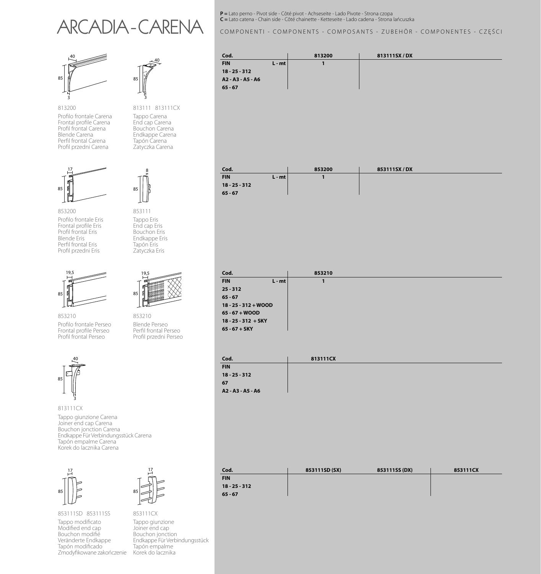



40 3 85

Tappo Carena End cap Carena Bouchon Carena Endkappe Carena Tapón Carena Zatyczka Carena

8

Tappo Eris End cap Eris Bouchon Eris Endkappe Eris Tapón Eris Zatyczka Eris

19,5

Blende Perseo Perfil frontal Perseo Profil przedni Perseo

85

85

813200 813111 813111CX Profilo frontale Carena Frontal profile Carena Profil frontal Carena Blende Carena Perfil frontal Carena Profil przedni Carena



853200 853111 Profilo frontale Eris Frontal profile Eris Profil frontal Eris Blende Eris Perfil frontal Eris Profil przedni Eris

85

17

ſ



853210 853210 Profilo frontale Perseo Frontal profile Perseo Profil frontal Perseo



813111CX

Tappo giunzione Carena Joiner end cap Carena Bouchon jonction Carena Endkappe Für Verbindungsstück Carena Tapón empalme Carena Korek do lacznika Carena



853111SD 853111SS 853111CX

Tappo modificato Modified end cap Bouchon modié Veränderte Endkappe Tapón modificado Zmodyfikowane zakończenie



Tappo giunzione Joiner end cap Bouchon jonction Endkappe Für Verbindungsstück Tapón empalme Korek do lacznika

**P =** Lato perno - Pivot side - Côté pivot - Achseseite - Lado Pivote - Strona czopa **C =** Lato catena - Chain side - Côté chainette - Ketteseite - Lado cadena - Strona lańcuszka

| Cod.              |          | 813200 | 813111SX/DX |
|-------------------|----------|--------|-------------|
| <b>FIN</b>        | $L - mt$ |        |             |
| $18 - 25 - 312$   |          |        |             |
| A2 - A3 - A5 - A6 |          |        |             |
| $65 - 67$         |          |        |             |

| Cod.            |          | 853200 | 853111SX/DX |
|-----------------|----------|--------|-------------|
| <b>FIN</b>      | L - mt l |        |             |
| $18 - 25 - 312$ |          |        |             |
| $65 - 67$       |          |        |             |

| Cod.                   |          | 853210 |  |  |
|------------------------|----------|--------|--|--|
| <b>FIN</b>             | $L - mt$ |        |  |  |
| $25 - 312$             |          |        |  |  |
| $65 - 67$              |          |        |  |  |
| $18 - 25 - 312 + WOOD$ |          |        |  |  |
| $65 - 67 + WOOD$       |          |        |  |  |
| $18 - 25 - 312 + SKY$  |          |        |  |  |
| $65 - 67 + SKY$        |          |        |  |  |
|                        |          |        |  |  |

| Cod.              | 813111CX |  |
|-------------------|----------|--|
| <b>FIN</b>        |          |  |
| $18 - 25 - 312$   |          |  |
| 67                |          |  |
| A2 - A3 - A5 - A6 |          |  |

| Cod.            | 853111SD (SX) | 853111SS (DX) | 853111CX |
|-----------------|---------------|---------------|----------|
| <b>FIN</b>      |               |               |          |
| $18 - 25 - 312$ |               |               |          |
| $65 - 67$       |               |               |          |